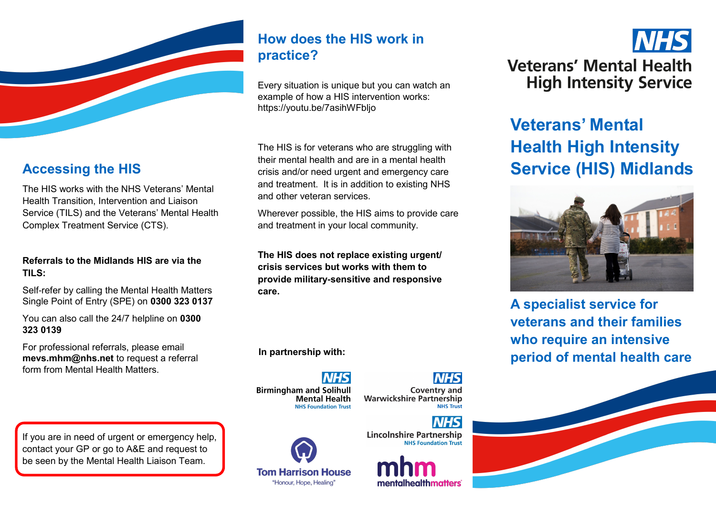

# **Accessing the HIS**

The HIS works with the NHS Veterans' Mental Health Transition, Intervention and Liaison Service (TILS) and the Veterans' Mental Health Complex Treatment Service (CTS).

#### **Referrals to the Midlands HIS are via the TILS:**

Self-refer by calling the Mental Health Matters Single Point of Entry (SPE) on **0300 323 0137**

You can also call the 24/7 helpline on **0300 323 0139**

For professional referrals, please email **mevs.mhm@nhs.net** to request a referral form from Mental Health Matters.

If you are in need of urgent or emergency help, contact your GP or go to A&E and request to be seen by the Mental Health Liaison Team.

# **How does the HIS work in practice?**

Every situation is unique but you can watch an example of how a HIS intervention works: https://youtu.be/7asihWFbljo

The HIS is for veterans who are struggling with their mental health and are in a mental health crisis and/or need urgent and emergency care and treatment. It is in addition to existing NHS and other veteran services.

Wherever possible, the HIS aims to provide care and treatment in your local community.

**The HIS does not replace existing urgent/ crisis services but works with them to provide military-sensitive and responsive care.** 

**In partnership with:**

**Birmingham and Solihull Mental Health NHS Foundation Trust** 

NHS **Coventry and Warwickshire Partnership** 

**NHS Trust** 



**Lincolnshire Partnership NHS Foundation Trust** 

mentalhealthmatters'



# **Veterans' Mental Health High Intensity Service (HIS) Midlands**



**A specialist service for veterans and their families who require an intensive period of mental health care**